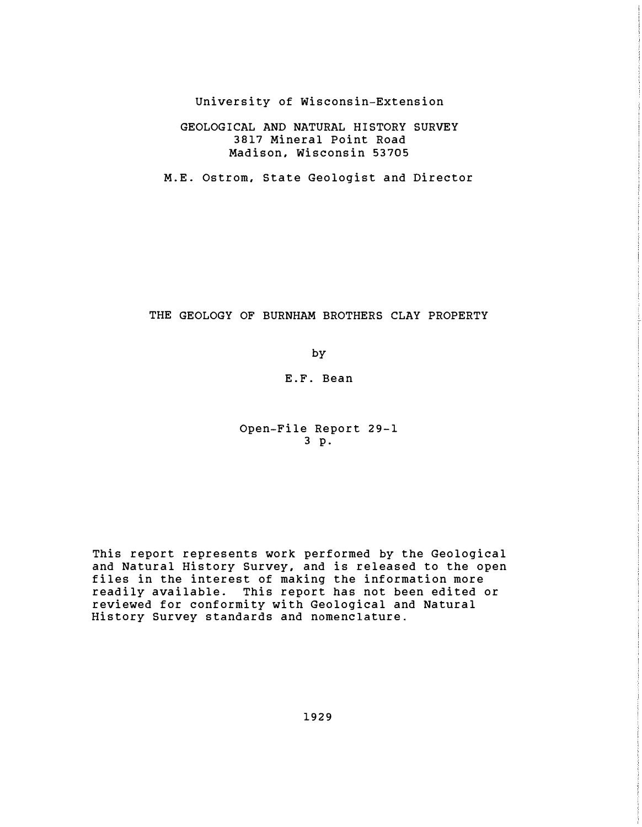University of Wisconsin-Extension

# GEOLOGICAL AND NATURAL HISTORY SURVEY 3817 Mineral Point Road Madison, Wisconsin 53705

M.E. Ostrom, State Geologist and Director

## THE GEOLOGY OF BURNHAM BROTHERS CLAY PROPERTY

by

E.F. Bean

Open-File Report 29-1 3 p.

This report represents work performed by the Geological and Natural History Survey, and is released to the open files in the interest of making the information more readily available. This report has not been edited or reviewed for conformity with Geological and Natural History Survey standards and nomenclature.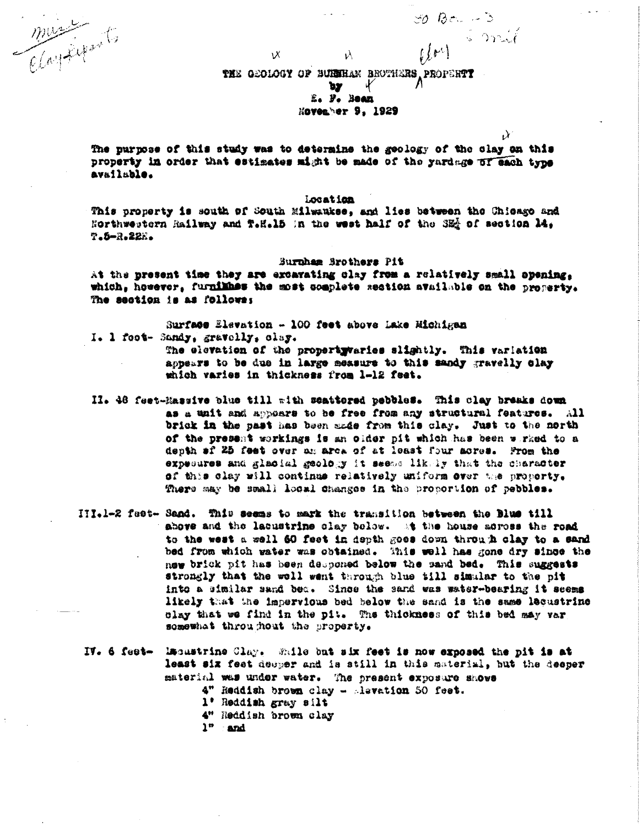musication to

 $\lambda$ THE GEOLOGY OF BUISHAM BROTHERS PROPERTY  $\mathcal{Y}$ ኳሃ

 $30$  *B*e.  $-3$ 

WM Smit

 $\mathcal{Y}$ 

E. F. BOAR

# **Hovenber 9, 1929**

The purpose of this study was to determine the geology of the clay on this property in order that estimates might be made of the yardage of each type available.

#### Location

This property is south of South Milwaukse, and lies between the Chiesgo and Horthwestern Railway and T.H.15 In the west half of the SE of section 14. T.5-R.22E.

#### Burnham Srothers Pit

At the present time they are excavating clay from a relatively small opening, which, however, furnikhes the most somplete section available on the property. The section is as follows:

Surface Elevation - 100 feet above Lake Michigan I. 1 foot- Sandy, gravelly, clay.

νX.

The elevation of the propertywaries slightly. This variation appears to be due in large measure to this sandy gravelly clay which varies in thickness from 1-12 feet.

- II. 48 feet-Massive blue till with scattered pebbles. This clay breaks down as a unit and appoars to be free from any structural features. All brick in the past has been made from this clay. Just to the north of the present workings is an older pit which has been wirked to a depth af 25 feet over an area of at least four mores. From the expecures and glacial geology it seems likely that the character of this clay will continus relatively uniform over the proporty. There may be small local changes in the proportion of pebbles.
- III.1-2 feet- Sand. This seems to mark the transition between the Blue till above and the labustrine clay below. At the house across the road to the west a well 60 feet in depth goes down through clay to a sand bed from which water was obtained. This well has gone dry since the new brick pit has been desponed below the sand bed. This suggests strongly that the well went through blue till simular to the pit into a similar sand bec. Since the sand was water-bearing it seems likely that the impervious bed below the sand is the same lecustrine clay that we find in the pit. The thickness of this bed may var somewhat throughout the property.
- IV. 6 fest- lacastrine Clay. While but six feet is now exposed the pit is at least six feet deeper and is still in this material, but the deeper material was under water. The present exposure shows 4" Reddish brown clay - Asvation 50 feet. 1' Reddish gray silt 4" Reddish brown clay  $1^{\circ}$  and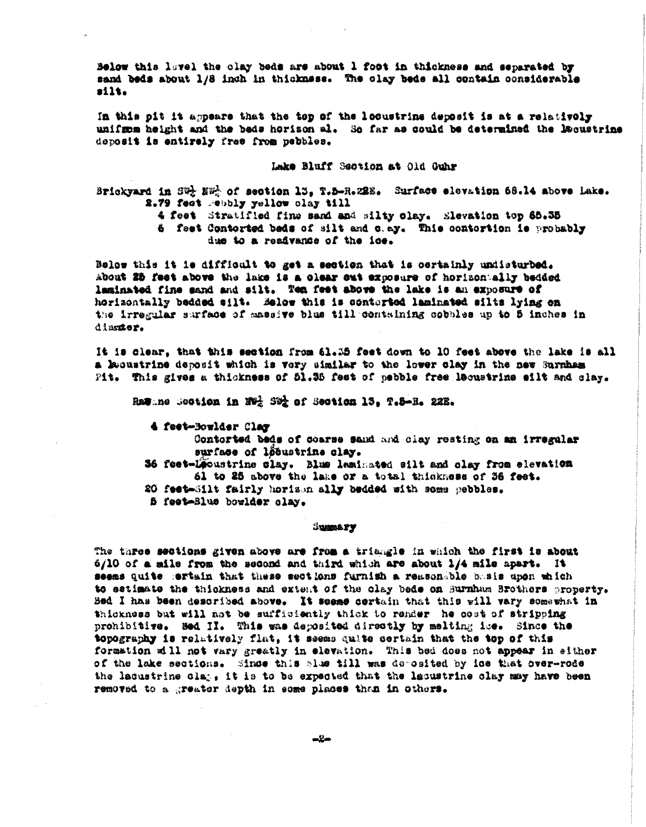Below this lavel the olay beds are about 1 foot in thickness and separated by sand beds about 1/8 inch in thickness. The clay beds all contain considerable  $<sub>211t</sub>$ </sub>

In this pit it appears that the top of the locustrine deposit is at a relativoly unifrem height and the beds horison al. So far as could be determined the Recustrine deposit is entirely free from pebbles.

### Lake Bluff Section at Old Cuhr

Brickyard in SW- NW- of section 13, T.5-R.22E. Surface elevation 68.14 above lake. 2.79 feet rebbly yellow clay till

- 4 feet Stratified fine sand and silty olay. Elevation top 65.35
- 6 feet Contorted beds of silt and c.ay. This contortion is probably due to a readvance of the ice.

Below this it is difficult to get a section that is certainly undisturbed. About 25 feet above the lake is a clear out exposure of horizontally bedded laminated fine sand and silt. Ten fest above the lake is an exposure of horizontally bedded silt. Selow this is conterted laminated silts lying on the irregular surface of massive blue till containing cobbles up to 5 inches in diamter.

It is clear, that this section from 61.35 feet down to 10 feet above the lake is all a lecustrine deposit which is very similar to the lower clay in the new Surnham Pit. This gives a thickness of 51.35 feet of pebble free lecustrine eilt and clay.

Rasane Scotion in Ned Sed of Section 13, T.S-R. 22E.

4 feet-Bowlder Clay

Contorted beds of coarse sand and clay resting on an irregular surface of løbustrine clay.

- 36 feet-Leoustrine slay. Blue laminated silt and olay from elevation 61 to 25 above the lake or a total thinkness of 36 feet.
- 20 feet-Silt fairly horison ally bedded with some pebbles.
- f feet-Blue bowlder clay.

### **SUMMARY**

The three sections given above are from a triangle in which the first is about d/10 of a mile from the second and third which are about 1/4 mile apart. It seems quite sertain that these sections furnish a reasonable basis upon which to estimate the thickness and extent of the clay beds on Surnham Srothers property. Bed I has been described above. It seems certain that this will vary somewhat in thickness but will not be sufficiently thick to render he cost of stripping prohibitive. Bed II. This was deposited directly by melting ise. Since the topography is relatively flat, it seems quite certain that the top of this formation will not vary greatly in elevation. This bed does not appear in either of the lake sections. Since this blue till was deposited by ice that over-rode the lacustrine class it is to be expected that the lacustrine clay may have been removed to a greater depth in some places than in others.